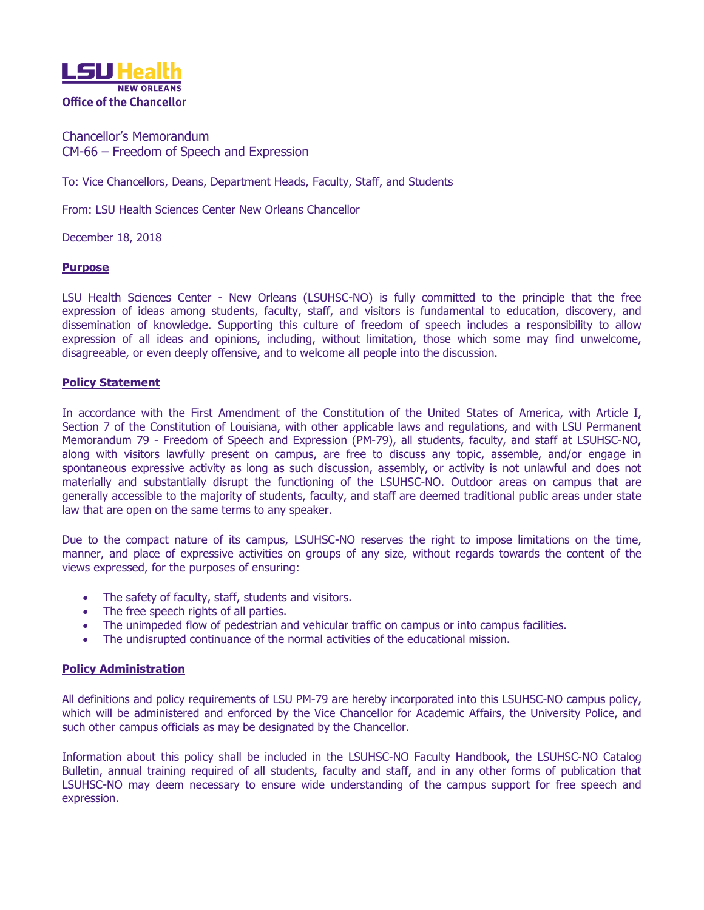

Chancellor's Memorandum CM-66 – Freedom of Speech and Expression

To: Vice Chancellors, Deans, Department Heads, Faculty, Staff, and Students

From: LSU Health Sciences Center New Orleans Chancellor

December 18, 2018

## **Purpose**

LSU Health Sciences Center - New Orleans (LSUHSC-NO) is fully committed to the principle that the free expression of ideas among students, faculty, staff, and visitors is fundamental to education, discovery, and dissemination of knowledge. Supporting this culture of freedom of speech includes a responsibility to allow expression of all ideas and opinions, including, without limitation, those which some may find unwelcome, disagreeable, or even deeply offensive, and to welcome all people into the discussion.

## **Policy Statement**

In accordance with the First Amendment of the Constitution of the United States of America, with Article I, Section 7 of the Constitution of Louisiana, with other applicable laws and regulations, and with LSU Permanent Memorandum 79 - Freedom of Speech and Expression (PM-79), all students, faculty, and staff at LSUHSC-NO, along with visitors lawfully present on campus, are free to discuss any topic, assemble, and/or engage in spontaneous expressive activity as long as such discussion, assembly, or activity is not unlawful and does not materially and substantially disrupt the functioning of the LSUHSC-NO. Outdoor areas on campus that are generally accessible to the majority of students, faculty, and staff are deemed traditional public areas under state law that are open on the same terms to any speaker.

Due to the compact nature of its campus, LSUHSC-NO reserves the right to impose limitations on the time, manner, and place of expressive activities on groups of any size, without regards towards the content of the views expressed, for the purposes of ensuring:

- The safety of faculty, staff, students and visitors.
- The free speech rights of all parties.
- The unimpeded flow of pedestrian and vehicular traffic on campus or into campus facilities.
- The undisrupted continuance of the normal activities of the educational mission.

## **Policy Administration**

All definitions and policy requirements of LSU PM-79 are hereby incorporated into this LSUHSC-NO campus policy, which will be administered and enforced by the Vice Chancellor for Academic Affairs, the University Police, and such other campus officials as may be designated by the Chancellor.

Information about this policy shall be included in the LSUHSC-NO Faculty Handbook, the LSUHSC-NO Catalog Bulletin, annual training required of all students, faculty and staff, and in any other forms of publication that LSUHSC-NO may deem necessary to ensure wide understanding of the campus support for free speech and expression.